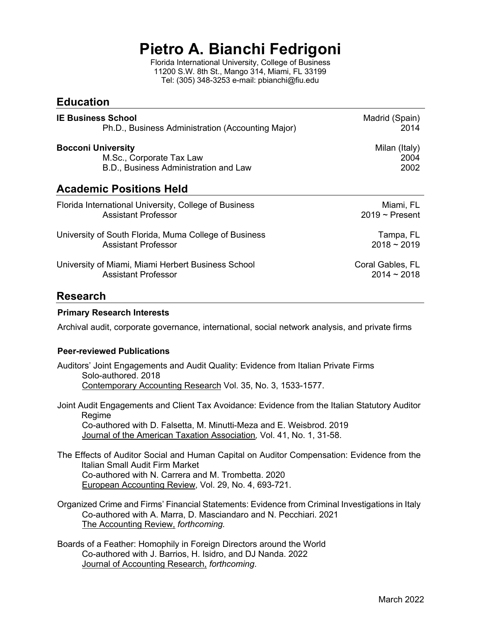# **Pietro A. Bianchi Fedrigoni**

Florida International University, College of Business 11200 S.W. 8th St., Mango 314, Miami, FL 33199 Tel: (305) 348-3253 e-mail: pbianchi@fiu.edu

| <b>Education</b>                                      |                     |
|-------------------------------------------------------|---------------------|
| <b>IE Business School</b>                             | Madrid (Spain)      |
| Ph.D., Business Administration (Accounting Major)     | 2014                |
| <b>Bocconi University</b>                             | Milan (Italy)       |
| M.Sc., Corporate Tax Law                              | 2004                |
| B.D., Business Administration and Law                 | 2002                |
| <b>Academic Positions Held</b>                        |                     |
| Florida International University, College of Business | Miami, FL           |
| <b>Assistant Professor</b>                            | $2019 \sim$ Present |
| University of South Florida, Muma College of Business | Tampa, FL           |
| Assistant Professor                                   | $2018 - 2019$       |
| University of Miami, Miami Herbert Business School    | Coral Gables, FL    |
| Assistant Professor                                   | $2014 - 2018$       |

## **Research**

#### **Primary Research Interests**

Archival audit, corporate governance, international, social network analysis, and private firms

#### **Peer-reviewed Publications**

- Auditors' Joint Engagements and Audit Quality: Evidence from Italian Private Firms Solo-authored. 2018 Contemporary Accounting Research Vol. 35, No. 3, 1533-1577.
- Joint Audit Engagements and Client Tax Avoidance: Evidence from the Italian Statutory Auditor Regime Co-authored with D. Falsetta, M. Minutti-Meza and E. Weisbrod. 2019 Journal of the American Taxation Association*,* Vol. 41, No. 1, 31-58.
- The Effects of Auditor Social and Human Capital on Auditor Compensation: Evidence from the Italian Small Audit Firm Market Co-authored with N. Carrera and M. Trombetta. 2020 European Accounting Review, Vol. 29, No. 4, 693-721.
- Organized Crime and Firms' Financial Statements: Evidence from Criminal Investigations in Italy Co-authored with A. Marra, D. Masciandaro and N. Pecchiari. 2021 The Accounting Review, *forthcoming.*
- Boards of a Feather: Homophily in Foreign Directors around the World Co-authored with J. Barrios, H. Isidro, and DJ Nanda. 2022 Journal of Accounting Research, *forthcoming*.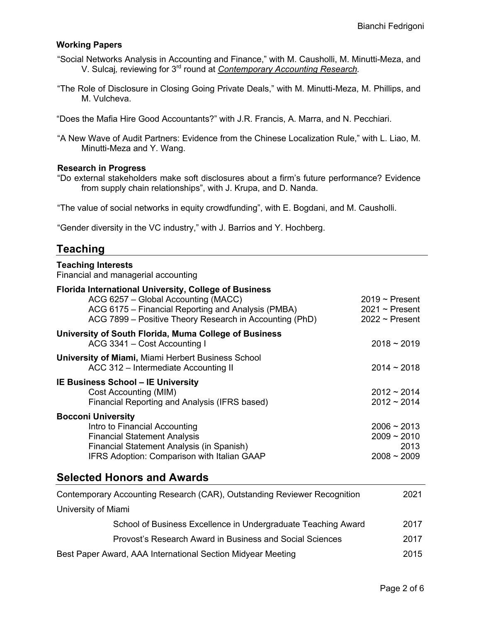#### **Working Papers**

- "Social Networks Analysis in Accounting and Finance," with M. Causholli, M. Minutti-Meza, and V. Sulcaj*,* reviewing for 3rd round at *Contemporary Accounting Research.*
- "The Role of Disclosure in Closing Going Private Deals," with M. Minutti-Meza, M. Phillips, and M. Vulcheva.
- "Does the Mafia Hire Good Accountants?" with J.R. Francis, A. Marra, and N. Pecchiari.
- "A New Wave of Audit Partners: Evidence from the Chinese Localization Rule," with L. Liao, M. Minutti-Meza and Y. Wang.

#### **Research in Progress**

"Do external stakeholders make soft disclosures about a firm's future performance? Evidence from supply chain relationships", with J. Krupa, and D. Nanda.

"The value of social networks in equity crowdfunding", with E. Bogdani, and M. Causholli.

"Gender diversity in the VC industry," with J. Barrios and Y. Hochberg.

### **Teaching**

| <b>Teaching Interests</b><br>Financial and managerial accounting                                                                                                                                                     |                                                             |
|----------------------------------------------------------------------------------------------------------------------------------------------------------------------------------------------------------------------|-------------------------------------------------------------|
| <b>Florida International University, College of Business</b><br>ACG 6257 - Global Accounting (MACC)<br>ACG 6175 - Financial Reporting and Analysis (PMBA)<br>ACG 7899 - Positive Theory Research in Accounting (PhD) | $2019$ ~ Present<br>$2021 \sim$ Present<br>$2022$ ~ Present |
| University of South Florida, Muma College of Business<br>ACG 3341 - Cost Accounting I                                                                                                                                | $2018 - 2019$                                               |
| <b>University of Miami, Miami Herbert Business School</b><br>ACC 312 – Intermediate Accounting II                                                                                                                    | $2014 - 2018$                                               |
| <b>IE Business School – IE University</b><br>Cost Accounting (MIM)<br>Financial Reporting and Analysis (IFRS based)                                                                                                  | $2012 - 2014$<br>$2012 - 2014$                              |
| <b>Bocconi University</b><br>Intro to Financial Accounting<br><b>Financial Statement Analysis</b><br>Financial Statement Analysis (in Spanish)<br>IFRS Adoption: Comparison with Italian GAAP                        | $2006 - 2013$<br>$2009 - 2010$<br>2013<br>$2008 - 2009$     |
| <b>Selected Honors and Awards</b>                                                                                                                                                                                    |                                                             |

| Contemporary Accounting Research (CAR), Outstanding Reviewer Recognition | 2021 |
|--------------------------------------------------------------------------|------|
| University of Miami                                                      |      |
| School of Business Excellence in Undergraduate Teaching Award            | 2017 |
| Provost's Research Award in Business and Social Sciences                 | 2017 |
| Best Paper Award, AAA International Section Midyear Meeting              | 2015 |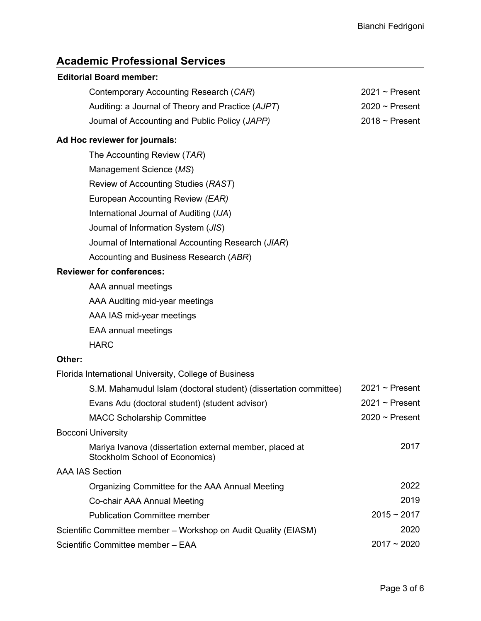$2021$  ~ Present  $2020 \sim$  Present  $2018 \sim$  Present

## **Academic Professional Services**

#### **Editorial Board member:**

Contemporary Accounting Research (*CAR*)

Auditing: a Journal of Theory and Practice (*AJPT*)

Journal of Accounting and Public Policy (*JAPP)*

#### **Ad Hoc reviewer for journals:**

| The Accounting Review (TAR)                         |
|-----------------------------------------------------|
| Management Science (MS)                             |
| Review of Accounting Studies (RAST)                 |
| European Accounting Review (EAR)                    |
| International Journal of Auditing (IJA)             |
| Journal of Information System (JIS)                 |
| Journal of International Accounting Research (JIAR) |
| Accounting and Business Research (ABR)              |

#### **Reviewer for conferences:**

AAA annual meetings

AAA Auditing mid-year meetings

AAA IAS mid-year meetings

EAA annual meetings

HARC

#### **Other:**

Florida International University, College of Business

| S.M. Mahamudul Islam (doctoral student) (dissertation committee)                          | $2021 \sim$ Present |
|-------------------------------------------------------------------------------------------|---------------------|
| Evans Adu (doctoral student) (student advisor)                                            | $2021 \sim$ Present |
| <b>MACC Scholarship Committee</b>                                                         | $2020 \sim$ Present |
| <b>Bocconi University</b>                                                                 |                     |
| Mariya Ivanova (dissertation external member, placed at<br>Stockholm School of Economics) | 2017                |
| AAA IAS Section                                                                           |                     |
| Organizing Committee for the AAA Annual Meeting                                           | 2022                |
| Co-chair AAA Annual Meeting                                                               | 2019                |
| <b>Publication Committee member</b>                                                       | $2015 - 2017$       |
| Scientific Committee member - Workshop on Audit Quality (EIASM)                           | 2020                |
| Scientific Committee member - EAA                                                         | $2017 - 2020$       |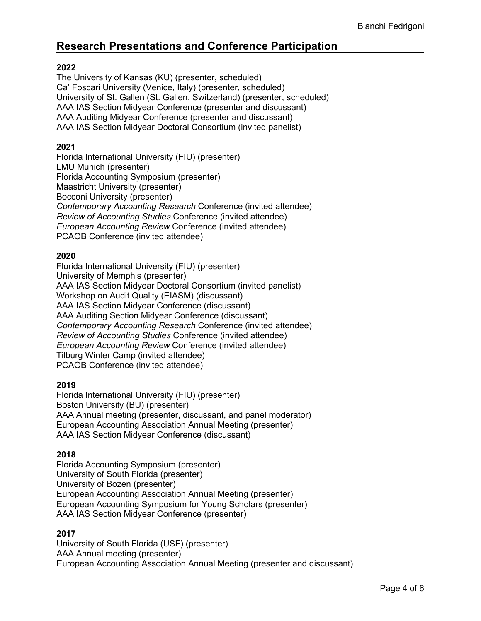# **Research Presentations and Conference Participation**

#### **2022**

The University of Kansas (KU) (presenter, scheduled) Ca' Foscari University (Venice, Italy) (presenter, scheduled) University of St. Gallen (St. Gallen, Switzerland) (presenter, scheduled) AAA IAS Section Midyear Conference (presenter and discussant) AAA Auditing Midyear Conference (presenter and discussant) AAA IAS Section Midyear Doctoral Consortium (invited panelist)

#### **2021**

Florida International University (FIU) (presenter) LMU Munich (presenter) Florida Accounting Symposium (presenter) Maastricht University (presenter) Bocconi University (presenter) *Contemporary Accounting Research* Conference (invited attendee) *Review of Accounting Studies* Conference (invited attendee) *European Accounting Review* Conference (invited attendee) PCAOB Conference (invited attendee)

#### **2020**

Florida International University (FIU) (presenter) University of Memphis (presenter) AAA IAS Section Midyear Doctoral Consortium (invited panelist) Workshop on Audit Quality (EIASM) (discussant) AAA IAS Section Midyear Conference (discussant) AAA Auditing Section Midyear Conference (discussant) *Contemporary Accounting Research* Conference (invited attendee) *Review of Accounting Studies* Conference (invited attendee) *European Accounting Review* Conference (invited attendee) Tilburg Winter Camp (invited attendee) PCAOB Conference (invited attendee)

#### **2019**

Florida International University (FIU) (presenter) Boston University (BU) (presenter) AAA Annual meeting (presenter, discussant, and panel moderator) European Accounting Association Annual Meeting (presenter) AAA IAS Section Midyear Conference (discussant)

#### **2018**

Florida Accounting Symposium (presenter) University of South Florida (presenter) University of Bozen (presenter) European Accounting Association Annual Meeting (presenter) European Accounting Symposium for Young Scholars (presenter) AAA IAS Section Midyear Conference (presenter)

#### **2017**

University of South Florida (USF) (presenter) AAA Annual meeting (presenter) European Accounting Association Annual Meeting (presenter and discussant)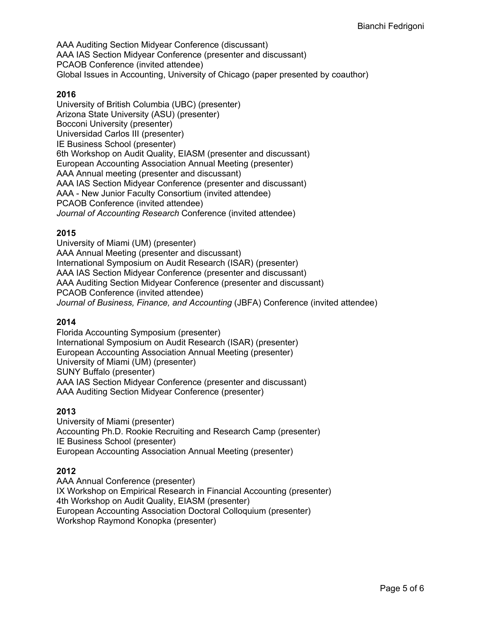AAA Auditing Section Midyear Conference (discussant) AAA IAS Section Midyear Conference (presenter and discussant) PCAOB Conference (invited attendee) Global Issues in Accounting, University of Chicago (paper presented by coauthor)

#### **2016**

University of British Columbia (UBC) (presenter) Arizona State University (ASU) (presenter) Bocconi University (presenter) Universidad Carlos III (presenter) IE Business School (presenter) 6th Workshop on Audit Quality, EIASM (presenter and discussant) European Accounting Association Annual Meeting (presenter) AAA Annual meeting (presenter and discussant) AAA IAS Section Midyear Conference (presenter and discussant) AAA - New Junior Faculty Consortium (invited attendee) PCAOB Conference (invited attendee) *Journal of Accounting Research* Conference (invited attendee)

#### **2015**

University of Miami (UM) (presenter) AAA Annual Meeting (presenter and discussant) International Symposium on Audit Research (ISAR) (presenter) AAA IAS Section Midyear Conference (presenter and discussant) AAA Auditing Section Midyear Conference (presenter and discussant) PCAOB Conference (invited attendee) *Journal of Business, Finance, and Accounting* (JBFA) Conference (invited attendee)

#### **2014**

Florida Accounting Symposium (presenter) International Symposium on Audit Research (ISAR) (presenter) European Accounting Association Annual Meeting (presenter) University of Miami (UM) (presenter) SUNY Buffalo (presenter) AAA IAS Section Midyear Conference (presenter and discussant) AAA Auditing Section Midyear Conference (presenter)

#### **2013**

University of Miami (presenter) Accounting Ph.D. Rookie Recruiting and Research Camp (presenter) IE Business School (presenter) European Accounting Association Annual Meeting (presenter)

#### **2012**

AAA Annual Conference (presenter) IX Workshop on Empirical Research in Financial Accounting (presenter) 4th Workshop on Audit Quality, EIASM (presenter) European Accounting Association Doctoral Colloquium (presenter) Workshop Raymond Konopka (presenter)